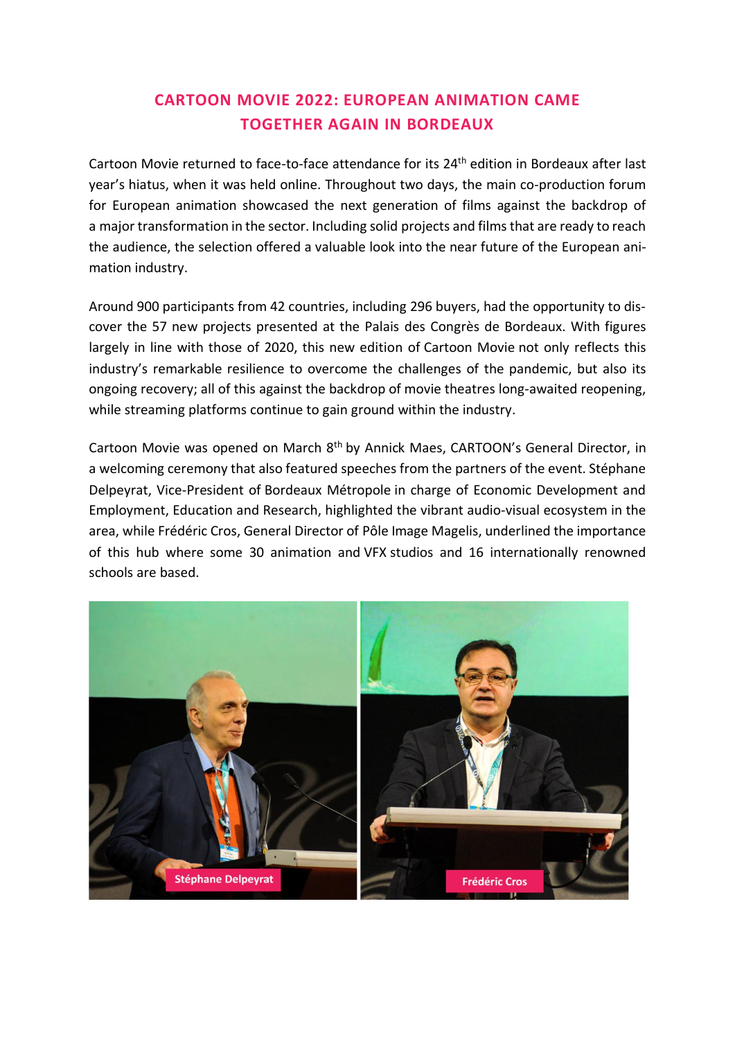# **CARTOON MOVIE 2022: EUROPEAN ANIMATION CAME TOGETHER AGAIN IN BORDEAUX**

Cartoon Movie returned to face-to-face attendance for its 24<sup>th</sup> edition in Bordeaux after last year's hiatus, when it was held online. Throughout two days, the main co-production forum for European animation showcased the next generation of films against the backdrop of a major transformation in the sector. Including solid projects and films that are ready to reach the audience, the selection offered a valuable look into the near future of the European animation industry.

Around 900 participants from 42 countries, including 296 buyers, had the opportunity to discover the 57 new projects presented at the Palais des Congrès de Bordeaux. With figures largely in line with those of 2020, this new edition of Cartoon Movie not only reflects this industry's remarkable resilience to overcome the challenges of the pandemic, but also its ongoing recovery; all of this against the backdrop of movie theatres long-awaited reopening, while streaming platforms continue to gain ground within the industry.

Cartoon Movie was opened on March 8<sup>th</sup> by Annick Maes, CARTOON's General Director, in a welcoming ceremony that also featured speeches from the partners of the event. Stéphane Delpeyrat, Vice-President of Bordeaux Métropole in charge of Economic Development and Employment, Education and Research, highlighted the vibrant audio-visual ecosystem in the area, while Frédéric Cros, General Director of Pôle Image Magelis, underlined the importance of this hub where some 30 animation and VFX studios and 16 internationally renowned schools are based.

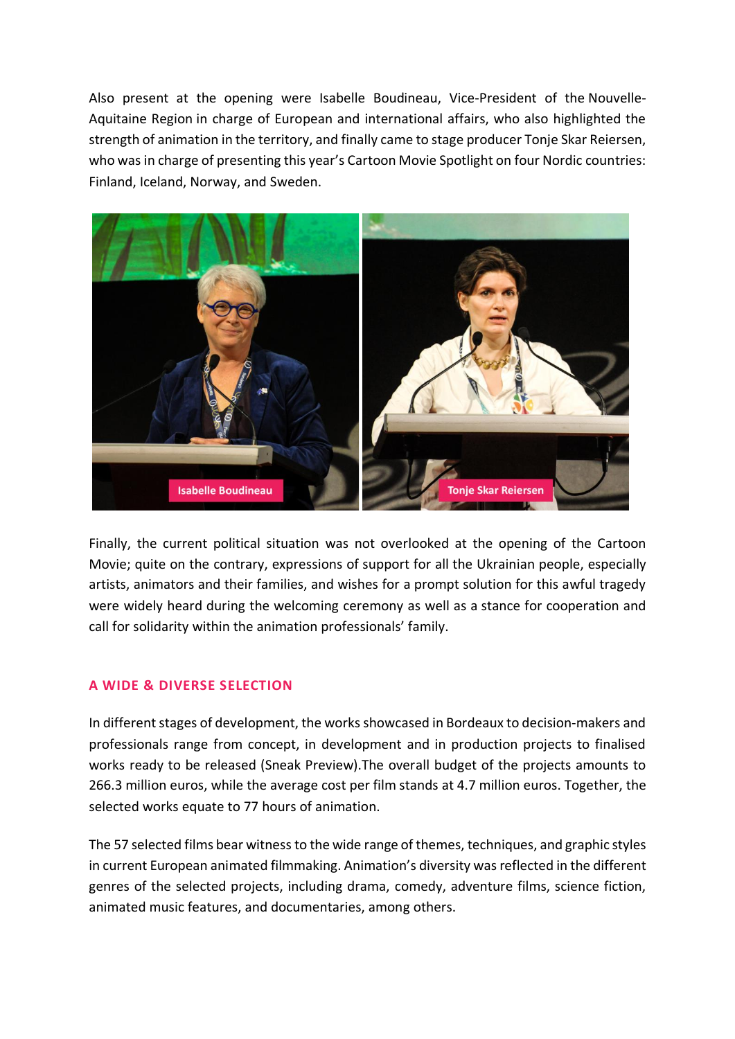Also present at the opening were Isabelle Boudineau, Vice-President of the Nouvelle-Aquitaine Region in charge of European and international affairs, who also highlighted the strength of animation in the territory, and finally came to stage producer Tonje Skar Reiersen, who was in charge of presenting this year's Cartoon Movie Spotlight on four Nordic countries: Finland, Iceland, Norway, and Sweden.



Finally, the current political situation was not overlooked at the opening of the Cartoon Movie; quite on the contrary, expressions of support for all the Ukrainian people, especially artists, animators and their families, and wishes for a prompt solution for this awful tragedy were widely heard during the welcoming ceremony as well as a stance for cooperation and call for solidarity within the animation professionals' family.

## **A WIDE & DIVERSE SELECTION**

In different stages of development, the works showcased in Bordeaux to decision-makers and professionals range from concept, in development and in production projects to finalised works ready to be released (Sneak Preview).The overall budget of the projects amounts to 266.3 million euros, while the average cost per film stands at 4.7 million euros. Together, the selected works equate to 77 hours of animation.

The 57 selected films bear witness to the wide range of themes, techniques, and graphic styles in current European animated filmmaking. Animation's diversity was reflected in the different genres of the selected projects, including drama, comedy, adventure films, science fiction, animated music features, and documentaries, among others.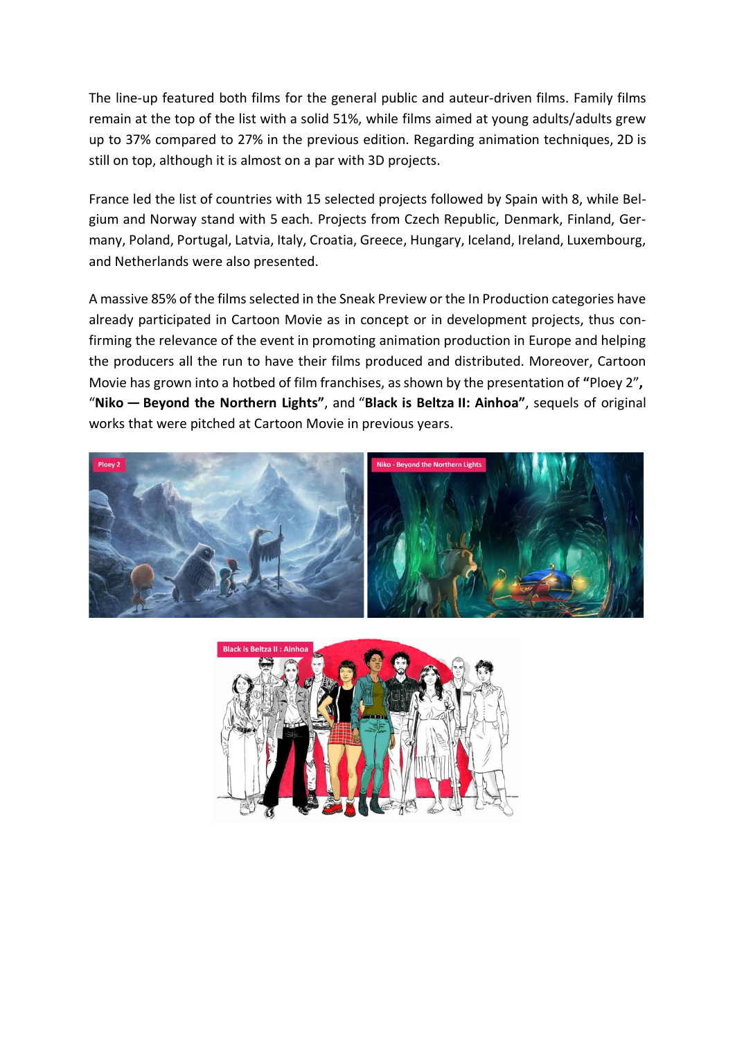The line-up featured both films for the general public and auteur-driven films. Family films remain at the top of the list with a solid 51%, while films aimed at young adults/adults grew up to 37% compared to 27% in the previous edition. Regarding animation techniques, 2D is still on top, although it is almost on a par with 3D projects.

France led the list of countries with 15 selected projects followed by Spain with 8, while Belgium and Norway stand with 5 each. Projects from Czech Republic, Denmark, Finland, Germany, Poland, Portugal, Latvia, Italy, Croatia, Greece, Hungary, Iceland, Ireland, Luxembourg, and Netherlands were also presented.

A massive 85% of the films selected in the Sneak Preview or the In Production categories have already participated in Cartoon Movie as in concept or in development projects, thus confirming the relevance of the event in promoting animation production in Europe and helping the producers all the run to have their films produced and distributed. Moreover, Cartoon Movie has grown into a hotbed of film franchises, as shown by the presentation of **"**Ploey 2"**,** "**Niko — Beyond the Northern Lights"**, and "**Black is Beltza II: Ainhoa"**, sequels of original works that were pitched at Cartoon Movie in previous years.



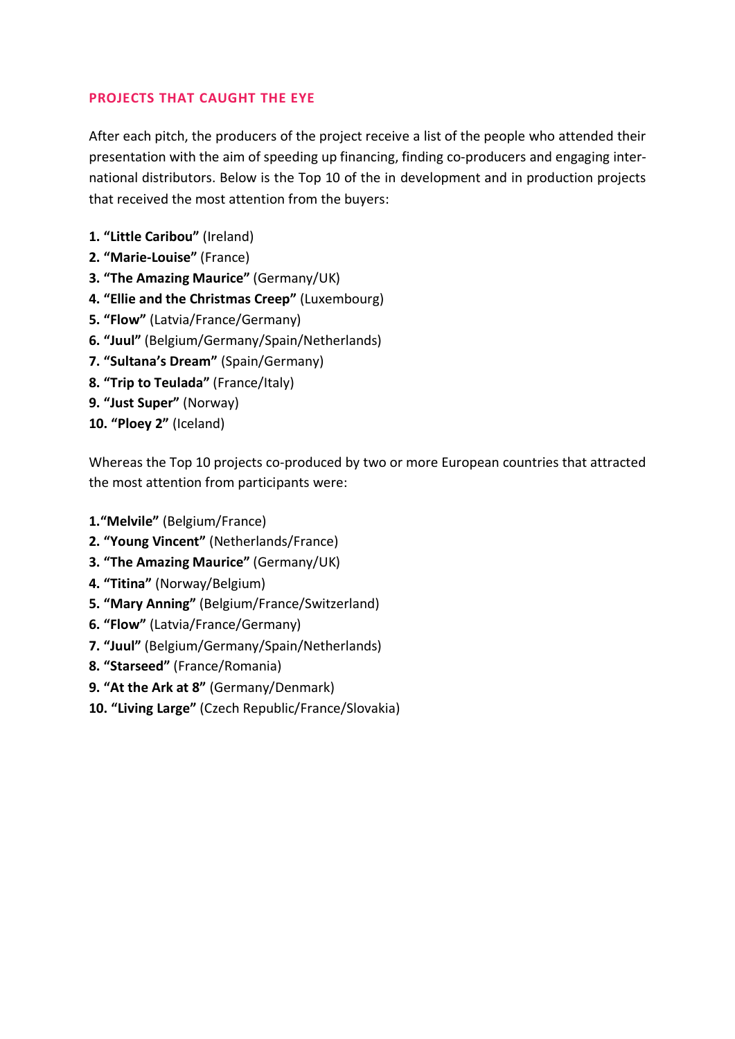# **PROJECTS THAT CAUGHT THE EYE**

After each pitch, the producers of the project receive a list of the people who attended their presentation with the aim of speeding up financing, finding co-producers and engaging international distributors. Below is the Top 10 of the in development and in production projects that received the most attention from the buyers:

- **1. "Little Caribou"** (Ireland)
- **2. "Marie-Louise"** (France)
- **3. "The Amazing Maurice"** (Germany/UK)
- **4. "Ellie and the Christmas Creep"** (Luxembourg)
- **5. "Flow"** (Latvia/France/Germany)
- **6. "Juul"** (Belgium/Germany/Spain/Netherlands)
- **7. "Sultana's Dream"** (Spain/Germany)
- **8. "Trip to Teulada"** (France/Italy)
- **9. "Just Super"** (Norway)
- **10. "Ploey 2"** (Iceland)

Whereas the Top 10 projects co-produced by two or more European countries that attracted the most attention from participants were:

- **1."Melvile"** (Belgium/France)
- **2. "Young Vincent"** (Netherlands/France)
- **3. "The Amazing Maurice"** (Germany/UK)
- **4. "Titina"** (Norway/Belgium)
- **5. "Mary Anning"** (Belgium/France/Switzerland)
- **6. "Flow"** (Latvia/France/Germany)
- **7. "Juul"** (Belgium/Germany/Spain/Netherlands)
- **8. "Starseed"** (France/Romania)
- **9. "At the Ark at 8"** (Germany/Denmark)
- **10. "Living Large"** (Czech Republic/France/Slovakia)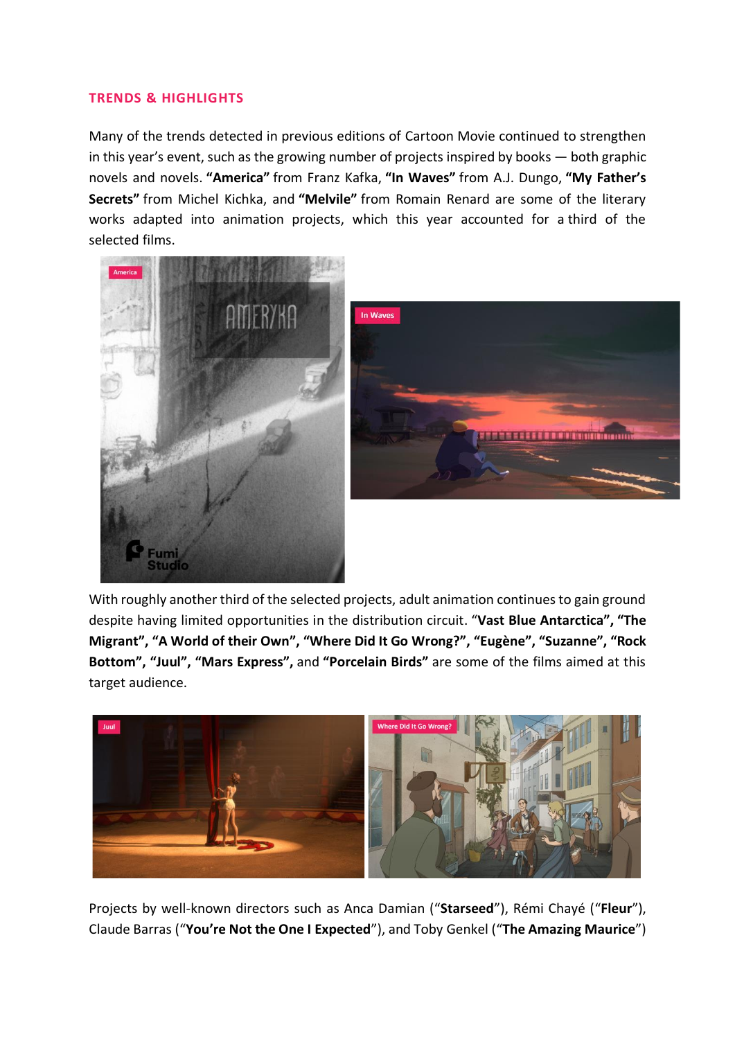## **TRENDS & HIGHLIGHTS**

Many of the trends detected in previous editions of Cartoon Movie continued to strengthen in this year's event, such as the growing number of projects inspired by books — both graphic novels and novels. **"America"** from Franz Kafka, **"In Waves"** from A.J. Dungo, **"My Father's Secrets"** from Michel Kichka, and **"Melvile"** from Romain Renard are some of the literary works adapted into animation projects, which this year accounted for a third of the selected films.



With roughly another third of the selected projects, adult animation continues to gain ground despite having limited opportunities in the distribution circuit. "**Vast Blue Antarctica", "The Migrant", "A World of their Own", "Where Did It Go Wrong?", "Eugène", "Suzanne", "Rock Bottom", "Juul", "Mars Express",** and **"Porcelain Birds"** are some of the films aimed at this target audience.



Projects by well-known directors such as Anca Damian ("**Starseed**"), Rémi Chayé ("**Fleur**"), Claude Barras ("**You're Not the One I Expected**"), and Toby Genkel ("**The Amazing Maurice**")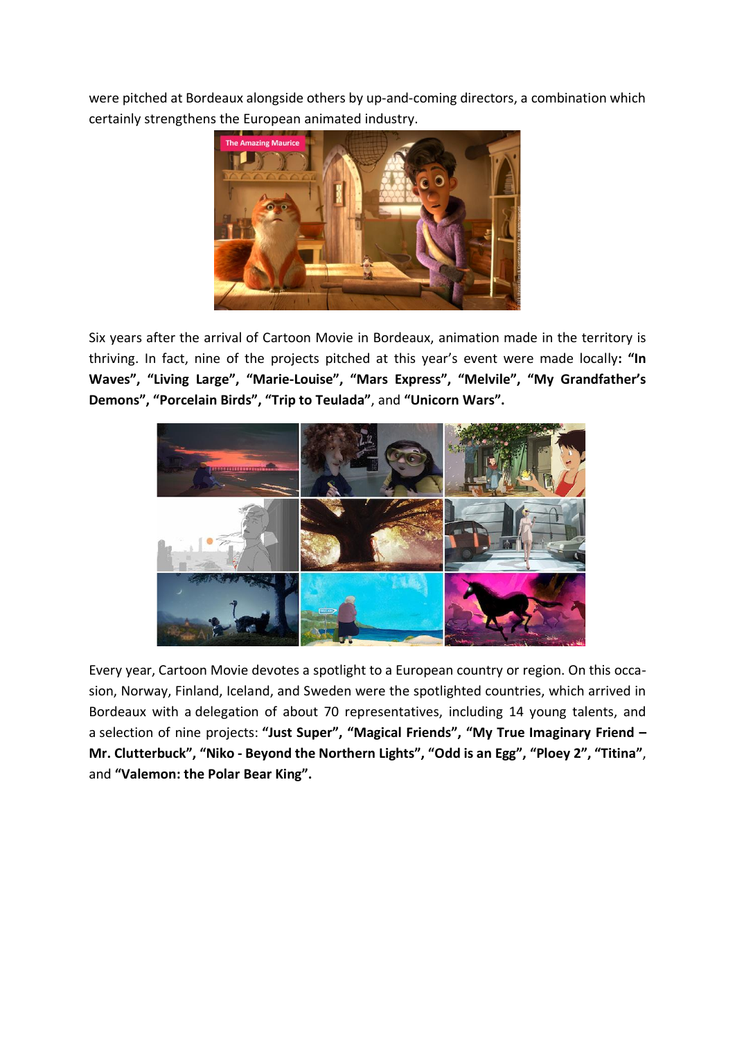were pitched at Bordeaux alongside others by up-and-coming directors, a combination which certainly strengthens the European animated industry.



Six years after the arrival of Cartoon Movie in Bordeaux, animation made in the territory is thriving. In fact, nine of the projects pitched at this year's event were made locally**: "In Waves", "Living Large", "Marie-Louise", "Mars Express", "Melvile", "My Grandfather's Demons", "Porcelain Birds", "Trip to Teulada"**, and **"Unicorn Wars".**



Every year, Cartoon Movie devotes a spotlight to a European country or region. On this occasion, Norway, Finland, Iceland, and Sweden were the spotlighted countries, which arrived in Bordeaux with a delegation of about 70 representatives, including 14 young talents, and a selection of nine projects: **"Just Super", "Magical Friends", "My True Imaginary Friend – Mr. Clutterbuck", "Niko - Beyond the Northern Lights", "Odd is an Egg", "Ploey 2", "Titina"**, and **"Valemon: the Polar Bear King".**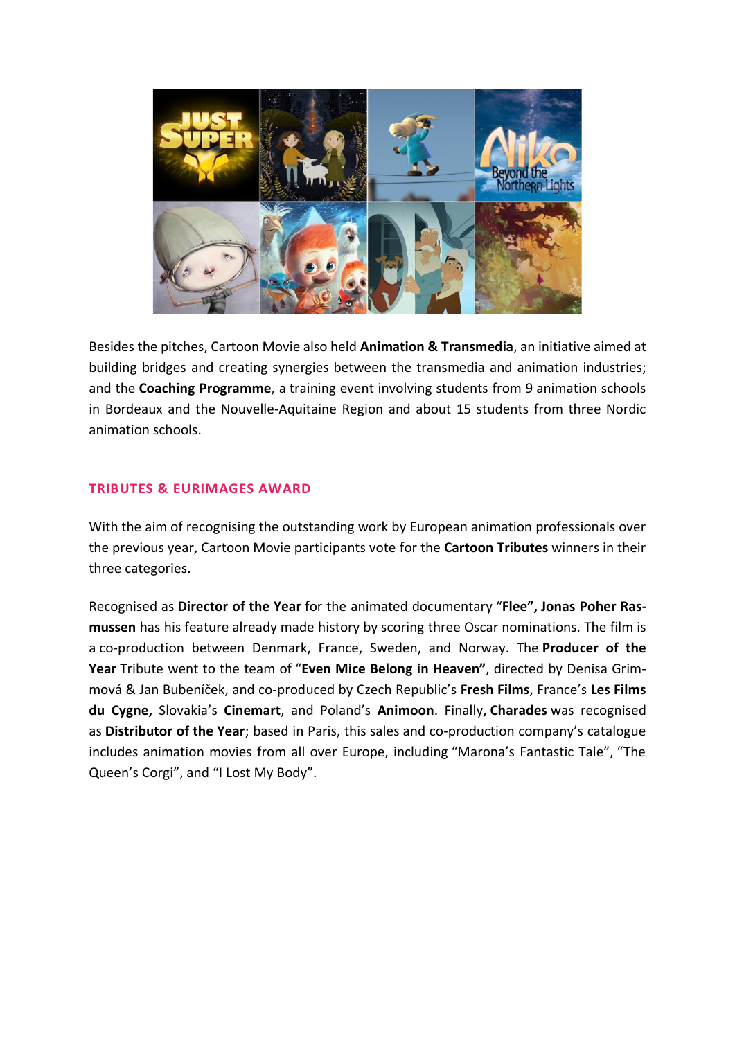

Besides the pitches, Cartoon Movie also held **Animation & Transmedia**, an initiative aimed at building bridges and creating synergies between the transmedia and animation industries; and the **Coaching Programme**, a training event involving students from 9 animation schools in Bordeaux and the Nouvelle-Aquitaine Region and about 15 students from three Nordic animation schools.

## **TRIBUTES & EURIMAGES AWARD**

With the aim of recognising the outstanding work by European animation professionals over the previous year, Cartoon Movie participants vote for the **Cartoon Tributes** winners in their three categories.

Recognised as **Director of the Year** for the animated documentary "**Flee", Jonas Poher Rasmussen** has his feature already made history by scoring three Oscar nominations. The film is a co-production between Denmark, France, Sweden, and Norway. The **Producer of the Year** Tribute went to the team of "**Even Mice Belong in Heaven"**, directed by Denisa Grimmová & Jan Bubeníček, and co-produced by Czech Republic's **Fresh Films**, France's **Les Films du Cygne,** Slovakia's **Cinemart**, and Poland's **Animoon**. Finally, **Charades** was recognised as **Distributor of the Year**; based in Paris, this sales and co-production company's catalogue includes animation movies from all over Europe, including "Marona's Fantastic Tale", "The Queen's Corgi", and "I Lost My Body".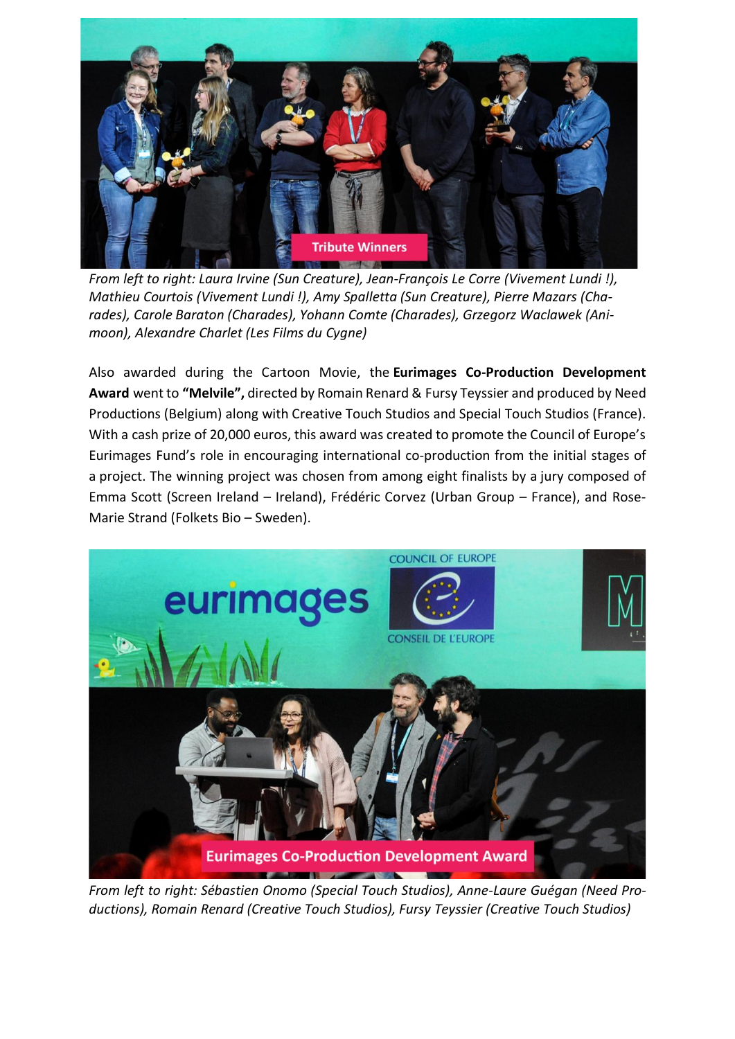

*From left to right: Laura Irvine (Sun Creature), Jean-François Le Corre (Vivement Lundi !), Mathieu Courtois (Vivement Lundi !), Amy Spalletta (Sun Creature), Pierre Mazars (Charades), Carole Baraton (Charades), Yohann Comte (Charades), Grzegorz Waclawek (Animoon), Alexandre Charlet (Les Films du Cygne)*

Also awarded during the Cartoon Movie, the **Eurimages Co-Production Development Award** went to **"Melvile",** directed by Romain Renard & Fursy Teyssier and produced by Need Productions (Belgium) along with Creative Touch Studios and Special Touch Studios (France). With a cash prize of 20,000 euros, this award was created to promote the Council of Europe's Eurimages Fund's role in encouraging international co-production from the initial stages of a project. The winning project was chosen from among eight finalists by a jury composed of Emma Scott (Screen Ireland – Ireland), Frédéric Corvez (Urban Group – France), and Rose-Marie Strand (Folkets Bio – Sweden).



*From left to right: Sébastien Onomo (Special Touch Studios), Anne-Laure Guégan (Need Productions), Romain Renard (Creative Touch Studios), Fursy Teyssier (Creative Touch Studios)*